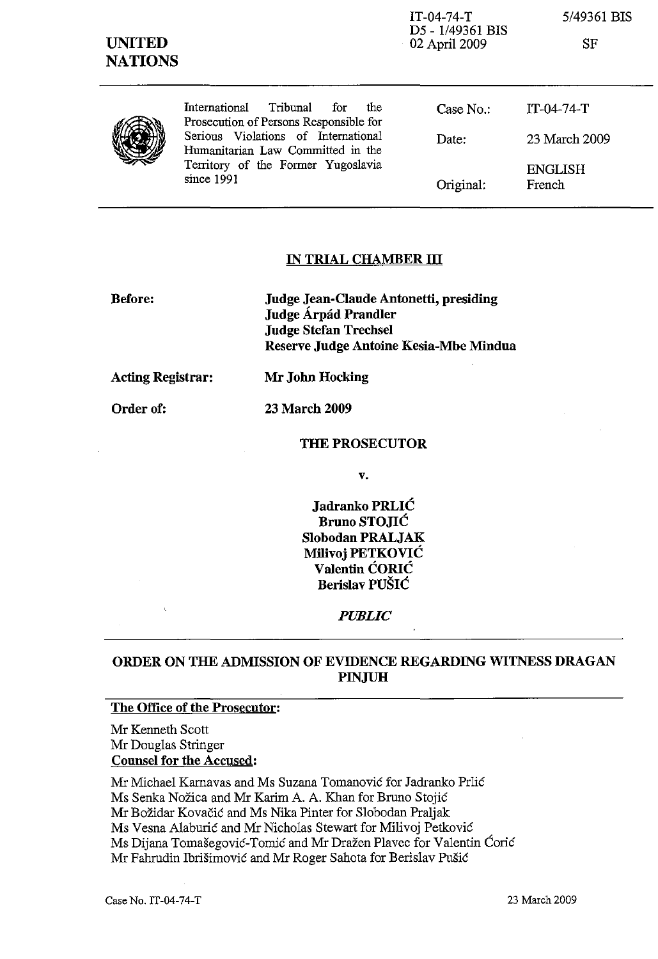| <b>UNITED</b><br><b>NATIONS</b> |                                                                                                                                | $IT-04-74-T$<br>D5 - 1/49361 BIS<br>$-02$ April 2009 | 5/49361 BIS<br>SF        |
|---------------------------------|--------------------------------------------------------------------------------------------------------------------------------|------------------------------------------------------|--------------------------|
|                                 | Tribunal<br>International<br>for<br>the<br>Prosecution of Persons Responsible for                                              | Case No.                                             | $IT-04-74-T$             |
|                                 | Serious Violations of International<br>Humanitarian Law Committed in the<br>Territory of the Former Yugoslavia<br>since $1991$ | Date:                                                | 23 March 2009            |
|                                 |                                                                                                                                | Original:                                            | <b>ENGLISH</b><br>French |

#### **IN TRIAL CHAMBER III**

**Before:** 

**Judge Jean-Claude Antonetti, presiding Judge Arpad Prandler Judge Stefan Trechsel Reserve Judge Antoine Kesia-Mbe Mindua** 

**Acting Registrar: Mr John Hocking** 

**Order of: 23 March 2009** 

#### **THE PROSECUTOR**

v.

**Jadranko PRLIC Bruno STOJIĆ Slobodau PRALJAK Milivoj PETKOVIC Valentin CORIC Berislav PUSIC** 

*PUBLIC* 

## **ORDER ON THE ADMISSION OF EVIDENCE REGARDING WITNESS DRAGAN PINJUH**

### **The Office of the Prosecutor:**

Mr Kenneth Scott Mr Douglas Stringer **Counsel for the Accused:** 

Mr Michael Karnavas and Ms Suzana Tomanović for Jadranko Prlić Ms Senka Nozica and Mr Karim A. A. Khan for Bruno Stojic Mr Bozidar Kovacic and Ms Nika Pinter for Slobodan Praljak Ms Vesna Alaburic and Mr Nicholas Stewart for Milivoj Petkovic Ms Dijana Tomasegovic-Tomic and Mr Drazen Plavec for Valentin Coric Mr Fahrudin Ibrisimovic and Mr Roger Sahota for Berislav Pusic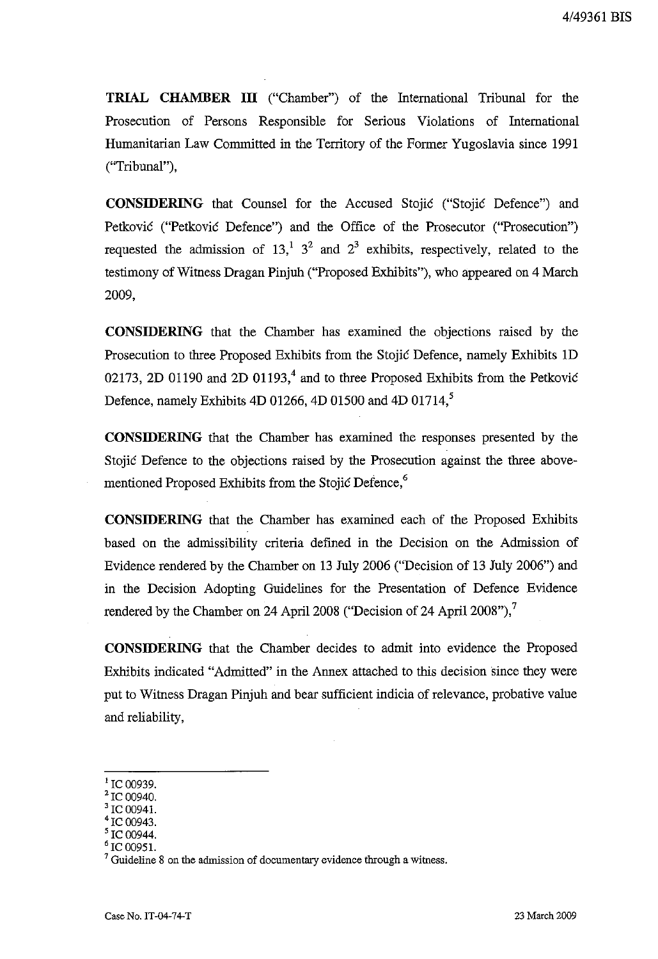**TRIAL CHAMBER III** ("Chamber") of the International Tribunal for the Prosecution of Persons Responsible for Serious Violations of International Humanitarian Law Committed in the Territory of the Former Yugoslavia since 1991 ("Tribunal"),

**CONSIDERING** that Counsel for the Accused Stojic ("Stojic Defence") and Petkovic ("Petkovic Defence") and the Office of the Prosecutor ("Prosecution") requested the admission of  $13<sup>1</sup>$ ,  $3<sup>2</sup>$  and  $2<sup>3</sup>$  exhibits, respectively, related to the testimony of Witness Dragan Pinjuh ("Proposed Exhibits"), who appeared on 4 March 2009,

**CONSIDERING** that the Chamber has examined the objections raised by the Prosecution to three Proposed Exhibits from the Stojic Defence, namely Exhibits 1D 02173, 2D 01190 and 2D 01193,<sup>4</sup> and to three Proposed Exhibits from the Petković Defence, namely Exhibits 4D 01266, 4D 01500 and 4D 01714,<sup>5</sup>

**CONSIDERING** that the Chamber has examined the responses presented by the Stojic Defence to the objections raised by the Prosecution against the three abovementioned Proposed Exhibits from the Stojic Defence,<sup>6</sup>

**CONSIDERING** that the Chamber has examined each of the Proposed Exhibits based on the admissibility criteria defined in the Decision on the Admission of Evidence rendered by the Chamber on 13 July 2006 ("Decision of 13 July 2006") and in the Decision Adopting Guidelines for the Presentation of Defence Evidence rendered by the Chamber on 24 April 2008 ("Decision of 24 April 2008"),<sup>7</sup>

**CONSIDERING** that the Chamber decides to admit into evidence the Proposed Exhibits indicated "Admitted" in the Annex attached to this decision since they were put to Witness Dragan Pinjuh and bear sufficient indicia of relevance, probative value and reliability,

IC 00951.

 $^{1}$  IC 00939.

 $200940.$ 

 $300941$ 

 $C$  00943.

C 00944.

Guideline 8 on the admission of documentary evidence through a witness.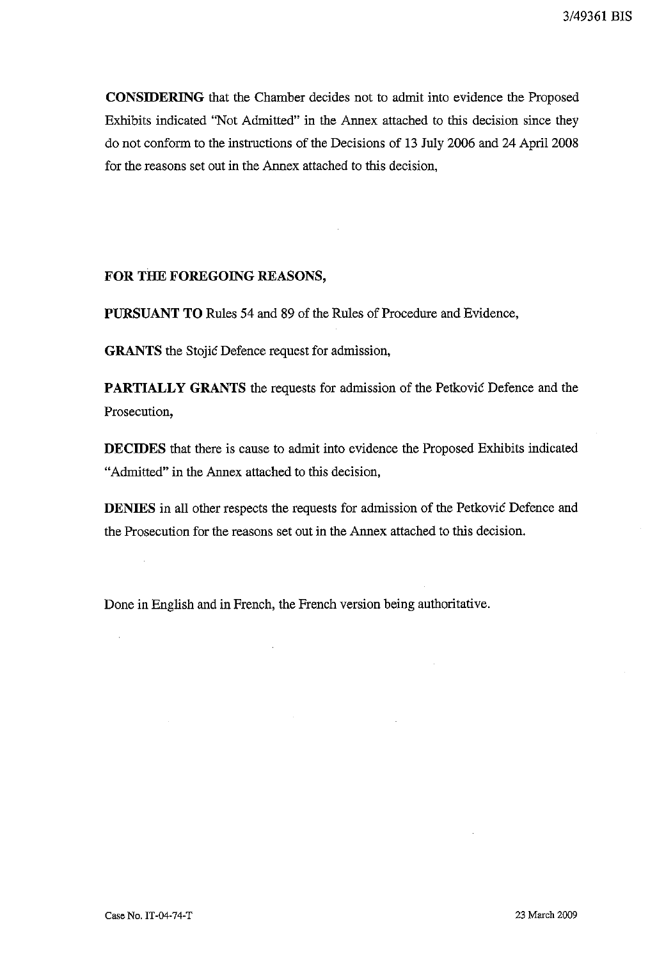**CONSIDERING** that the Chamber decides not to admit into evidence the Proposed Exhibits indicated "Not Admitted" in the Annex attached to this decision since they do not conform to the instructions of the Decisions of 13 July 2006 and 24 April 2008 for the reasons set out in the Annex attached to this decision,

### **FOR THE FOREGOING REASONS,**

**PURSUANT TO** Rules 54 and 89 of the Rules of Procedure and Evidence,

**GRANTS** the Stojic Defence request for admission,

**PARTIALLY GRANTS** the requests for admission of the Petkovic Defence and the Prosecution,

**DECIDES** that there is cause to admit into evidence the Proposed Exhibits indicated "Admitted" in the Annex attached to this decision,

**DENIES** in all other respects the requests for admission of the Petkovic Defence and the Prosecution for the reasons set out in the Annex attached to this decision.

Done in English and in French, the French version being authoritative.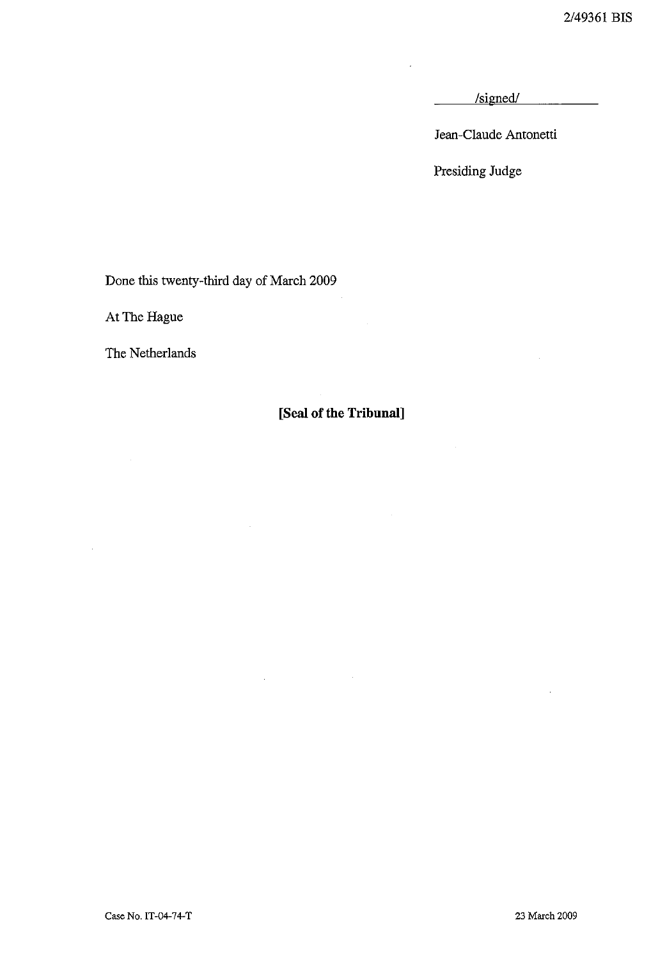/signed/

Jean-Claude Antonetti

Presiding Judge

Done this twenty-third day of March 2009

 $\bar{z}$ 

At The Hague

The Netherlands

 $\bar{z}$ 

## **[Seal of the Tribunal]**